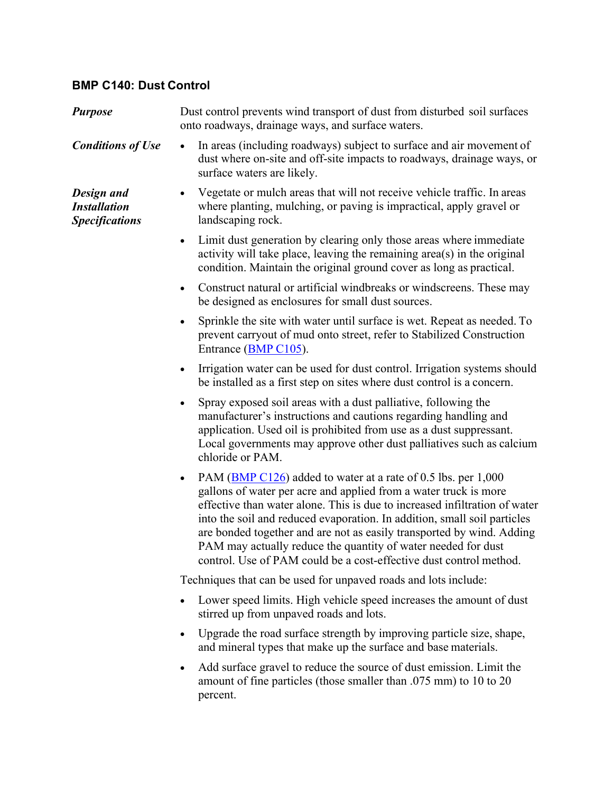## **BMP C140: Dust Control**

| <b>Purpose</b>                                                    | Dust control prevents wind transport of dust from disturbed soil surfaces<br>onto roadways, drainage ways, and surface waters.                                                                                                                                                                                                                                                                                                                                                                                           |
|-------------------------------------------------------------------|--------------------------------------------------------------------------------------------------------------------------------------------------------------------------------------------------------------------------------------------------------------------------------------------------------------------------------------------------------------------------------------------------------------------------------------------------------------------------------------------------------------------------|
| <b>Conditions of Use</b>                                          | In areas (including roadways) subject to surface and air movement of<br>$\bullet$<br>dust where on-site and off-site impacts to roadways, drainage ways, or<br>surface waters are likely.                                                                                                                                                                                                                                                                                                                                |
| <b>Design and</b><br><b>Installation</b><br><b>Specifications</b> | Vegetate or mulch areas that will not receive vehicle traffic. In areas<br>٠<br>where planting, mulching, or paving is impractical, apply gravel or<br>landscaping rock.                                                                                                                                                                                                                                                                                                                                                 |
|                                                                   | Limit dust generation by clearing only those areas where immediate<br>$\bullet$<br>activity will take place, leaving the remaining area(s) in the original<br>condition. Maintain the original ground cover as long as practical.                                                                                                                                                                                                                                                                                        |
|                                                                   | Construct natural or artificial windbreaks or windscreens. These may<br>$\bullet$<br>be designed as enclosures for small dust sources.                                                                                                                                                                                                                                                                                                                                                                                   |
|                                                                   | Sprinkle the site with water until surface is wet. Repeat as needed. To<br>$\bullet$<br>prevent carryout of mud onto street, refer to Stabilized Construction<br>Entrance (BMP C105).                                                                                                                                                                                                                                                                                                                                    |
|                                                                   | Irrigation water can be used for dust control. Irrigation systems should<br>$\bullet$<br>be installed as a first step on sites where dust control is a concern.                                                                                                                                                                                                                                                                                                                                                          |
|                                                                   | Spray exposed soil areas with a dust palliative, following the<br>$\bullet$<br>manufacturer's instructions and cautions regarding handling and<br>application. Used oil is prohibited from use as a dust suppressant.<br>Local governments may approve other dust palliatives such as calcium<br>chloride or PAM.                                                                                                                                                                                                        |
|                                                                   | PAM (BMP C126) added to water at a rate of 0.5 lbs. per 1,000<br>$\bullet$<br>gallons of water per acre and applied from a water truck is more<br>effective than water alone. This is due to increased infiltration of water<br>into the soil and reduced evaporation. In addition, small soil particles<br>are bonded together and are not as easily transported by wind. Adding<br>PAM may actually reduce the quantity of water needed for dust<br>control. Use of PAM could be a cost-effective dust control method. |
|                                                                   | Techniques that can be used for unpaved roads and lots include:                                                                                                                                                                                                                                                                                                                                                                                                                                                          |
|                                                                   | Lower speed limits. High vehicle speed increases the amount of dust<br>stirred up from unpaved roads and lots.                                                                                                                                                                                                                                                                                                                                                                                                           |
|                                                                   | Upgrade the road surface strength by improving particle size, shape,<br>$\bullet$<br>and mineral types that make up the surface and base materials.                                                                                                                                                                                                                                                                                                                                                                      |
|                                                                   | Add surface gravel to reduce the source of dust emission. Limit the<br>$\bullet$<br>amount of fine particles (those smaller than .075 mm) to 10 to 20<br>percent.                                                                                                                                                                                                                                                                                                                                                        |